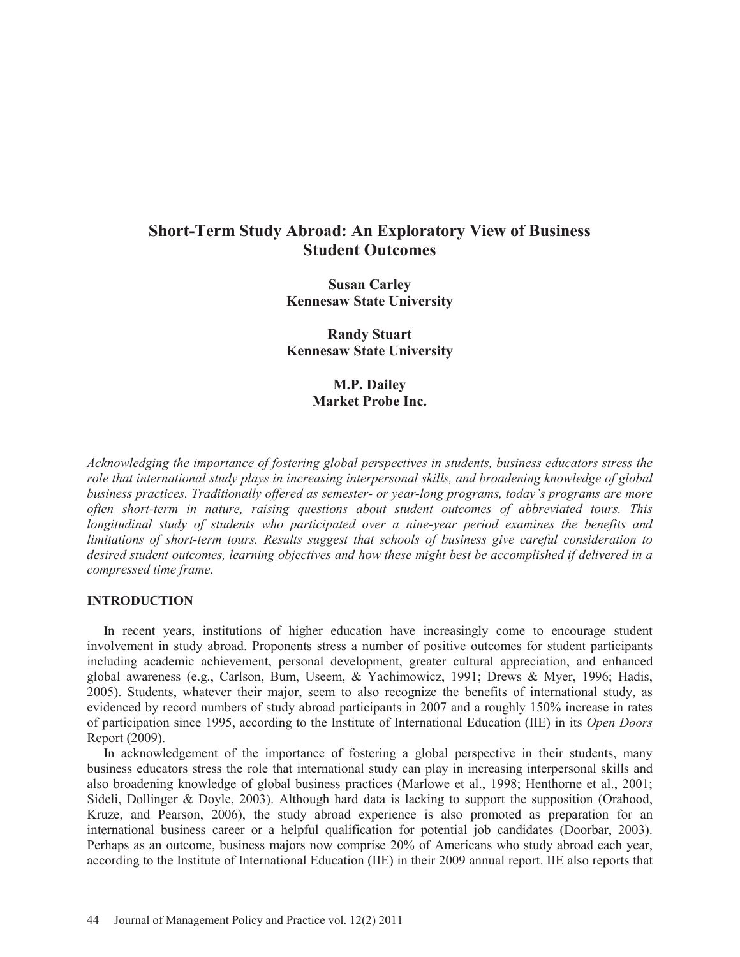# **Short-Term Study Abroad: An Exploratory View of Business Student Outcomes**

**Susan Carley Kennesaw State University** 

**Randy Stuart Kennesaw State University** 

> **M.P. Dailey Market Probe Inc.**

*Acknowledging the importance of fostering global perspectives in students, business educators stress the role that international study plays in increasing interpersonal skills, and broadening knowledge of global business practices. Traditionally offered as semester- or year-long programs, today's programs are more often short-term in nature, raising questions about student outcomes of abbreviated tours. This longitudinal study of students who participated over a nine-year period examines the benefits and limitations of short-term tours. Results suggest that schools of business give careful consideration to desired student outcomes, learning objectives and how these might best be accomplished if delivered in a compressed time frame.* 

#### **INTRODUCTION**

 In recent years, institutions of higher education have increasingly come to encourage student involvement in study abroad. Proponents stress a number of positive outcomes for student participants including academic achievement, personal development, greater cultural appreciation, and enhanced global awareness (e.g., Carlson, Bum, Useem, & Yachimowicz, 1991; Drews & Myer, 1996; Hadis, 2005). Students, whatever their major, seem to also recognize the benefits of international study, as evidenced by record numbers of study abroad participants in 2007 and a roughly 150% increase in rates of participation since 1995, according to the Institute of International Education (IIE) in its *Open Doors* Report (2009).

 In acknowledgement of the importance of fostering a global perspective in their students, many business educators stress the role that international study can play in increasing interpersonal skills and also broadening knowledge of global business practices (Marlowe et al., 1998; Henthorne et al., 2001; Sideli, Dollinger & Doyle, 2003). Although hard data is lacking to support the supposition (Orahood, Kruze, and Pearson, 2006), the study abroad experience is also promoted as preparation for an international business career or a helpful qualification for potential job candidates (Doorbar, 2003). Perhaps as an outcome, business majors now comprise 20% of Americans who study abroad each year, according to the Institute of International Education (IIE) in their 2009 annual report. IIE also reports that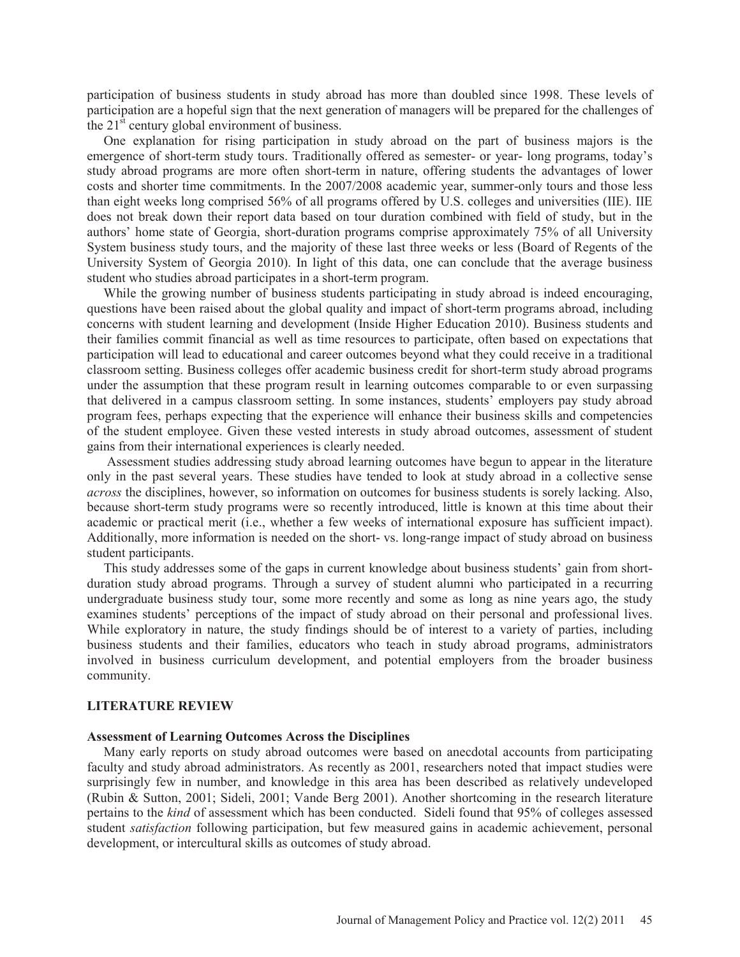participation of business students in study abroad has more than doubled since 1998. These levels of participation are a hopeful sign that the next generation of managers will be prepared for the challenges of the  $21<sup>st</sup>$  century global environment of business.

 One explanation for rising participation in study abroad on the part of business majors is the emergence of short-term study tours. Traditionally offered as semester- or year- long programs, today's study abroad programs are more often short-term in nature, offering students the advantages of lower costs and shorter time commitments. In the 2007/2008 academic year, summer-only tours and those less than eight weeks long comprised 56% of all programs offered by U.S. colleges and universities (IIE). IIE does not break down their report data based on tour duration combined with field of study, but in the authors' home state of Georgia, short-duration programs comprise approximately 75% of all University System business study tours, and the majority of these last three weeks or less (Board of Regents of the University System of Georgia 2010). In light of this data, one can conclude that the average business student who studies abroad participates in a short-term program.

 While the growing number of business students participating in study abroad is indeed encouraging, questions have been raised about the global quality and impact of short-term programs abroad, including concerns with student learning and development (Inside Higher Education 2010). Business students and their families commit financial as well as time resources to participate, often based on expectations that participation will lead to educational and career outcomes beyond what they could receive in a traditional classroom setting. Business colleges offer academic business credit for short-term study abroad programs under the assumption that these program result in learning outcomes comparable to or even surpassing that delivered in a campus classroom setting. In some instances, students' employers pay study abroad program fees, perhaps expecting that the experience will enhance their business skills and competencies of the student employee. Given these vested interests in study abroad outcomes, assessment of student gains from their international experiences is clearly needed.

 Assessment studies addressing study abroad learning outcomes have begun to appear in the literature only in the past several years. These studies have tended to look at study abroad in a collective sense *across* the disciplines, however, so information on outcomes for business students is sorely lacking. Also, because short-term study programs were so recently introduced, little is known at this time about their academic or practical merit (i.e., whether a few weeks of international exposure has sufficient impact). Additionally, more information is needed on the short- vs. long-range impact of study abroad on business student participants.

 This study addresses some of the gaps in current knowledge about business students' gain from shortduration study abroad programs. Through a survey of student alumni who participated in a recurring undergraduate business study tour, some more recently and some as long as nine years ago, the study examines students' perceptions of the impact of study abroad on their personal and professional lives. While exploratory in nature, the study findings should be of interest to a variety of parties, including business students and their families, educators who teach in study abroad programs, administrators involved in business curriculum development, and potential employers from the broader business community.

#### **LITERATURE REVIEW**

#### **Assessment of Learning Outcomes Across the Disciplines**

 Many early reports on study abroad outcomes were based on anecdotal accounts from participating faculty and study abroad administrators. As recently as 2001, researchers noted that impact studies were surprisingly few in number, and knowledge in this area has been described as relatively undeveloped (Rubin & Sutton, 2001; Sideli, 2001; Vande Berg 2001). Another shortcoming in the research literature pertains to the *kind* of assessment which has been conducted. Sideli found that 95% of colleges assessed student *satisfaction* following participation, but few measured gains in academic achievement, personal development, or intercultural skills as outcomes of study abroad.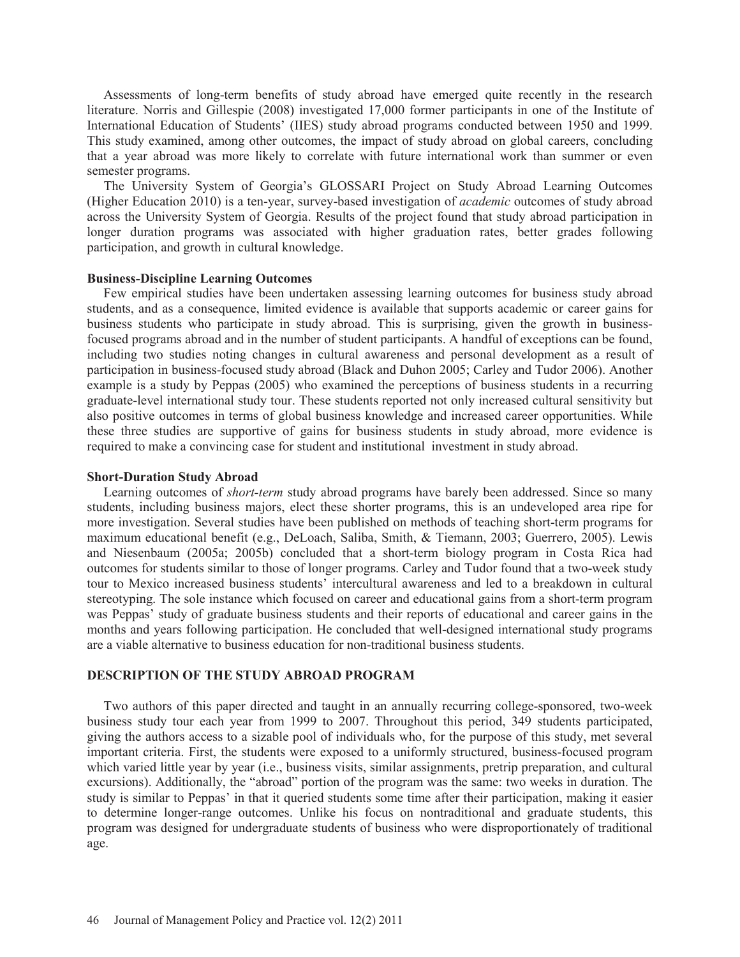Assessments of long-term benefits of study abroad have emerged quite recently in the research literature. Norris and Gillespie (2008) investigated 17,000 former participants in one of the Institute of International Education of Students' (IIES) study abroad programs conducted between 1950 and 1999. This study examined, among other outcomes, the impact of study abroad on global careers, concluding that a year abroad was more likely to correlate with future international work than summer or even semester programs.

The University System of Georgia's GLOSSARI Project on Study Abroad Learning Outcomes (Higher Education 2010) is a ten-year, survey-based investigation of *academic* outcomes of study abroad across the University System of Georgia. Results of the project found that study abroad participation in longer duration programs was associated with higher graduation rates, better grades following participation, and growth in cultural knowledge.

#### **Business-Discipline Learning Outcomes**

Few empirical studies have been undertaken assessing learning outcomes for business study abroad students, and as a consequence, limited evidence is available that supports academic or career gains for business students who participate in study abroad. This is surprising, given the growth in businessfocused programs abroad and in the number of student participants. A handful of exceptions can be found, including two studies noting changes in cultural awareness and personal development as a result of participation in business-focused study abroad (Black and Duhon 2005; Carley and Tudor 2006). Another example is a study by Peppas (2005) who examined the perceptions of business students in a recurring graduate-level international study tour. These students reported not only increased cultural sensitivity but also positive outcomes in terms of global business knowledge and increased career opportunities. While these three studies are supportive of gains for business students in study abroad, more evidence is required to make a convincing case for student and institutional investment in study abroad.

#### **Short-Duration Study Abroad**

 Learning outcomes of *short-term* study abroad programs have barely been addressed. Since so many students, including business majors, elect these shorter programs, this is an undeveloped area ripe for more investigation. Several studies have been published on methods of teaching short-term programs for maximum educational benefit (e.g., DeLoach, Saliba, Smith, & Tiemann, 2003; Guerrero, 2005). Lewis and Niesenbaum (2005a; 2005b) concluded that a short-term biology program in Costa Rica had outcomes for students similar to those of longer programs. Carley and Tudor found that a two-week study tour to Mexico increased business students' intercultural awareness and led to a breakdown in cultural stereotyping. The sole instance which focused on career and educational gains from a short-term program was Peppas' study of graduate business students and their reports of educational and career gains in the months and years following participation. He concluded that well-designed international study programs are a viable alternative to business education for non-traditional business students.

#### **DESCRIPTION OF THE STUDY ABROAD PROGRAM**

 Two authors of this paper directed and taught in an annually recurring college-sponsored, two-week business study tour each year from 1999 to 2007. Throughout this period, 349 students participated, giving the authors access to a sizable pool of individuals who, for the purpose of this study, met several important criteria. First, the students were exposed to a uniformly structured, business-focused program which varied little year by year (i.e., business visits, similar assignments, pretrip preparation, and cultural excursions). Additionally, the "abroad" portion of the program was the same: two weeks in duration. The study is similar to Peppas' in that it queried students some time after their participation, making it easier to determine longer-range outcomes. Unlike his focus on nontraditional and graduate students, this program was designed for undergraduate students of business who were disproportionately of traditional age.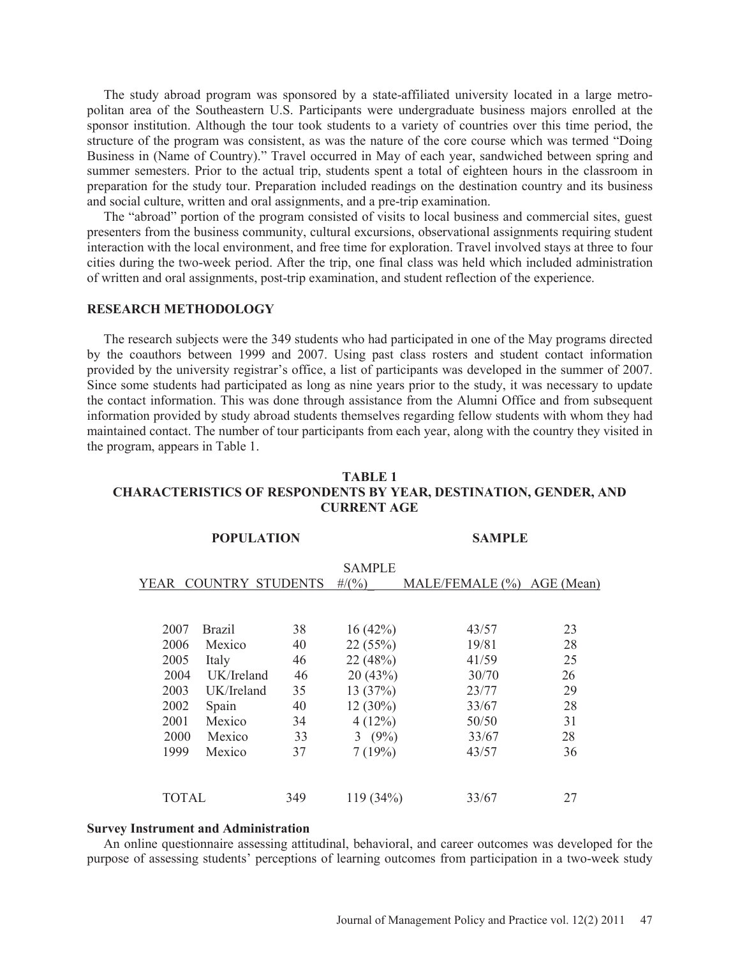The study abroad program was sponsored by a state-affiliated university located in a large metropolitan area of the Southeastern U.S. Participants were undergraduate business majors enrolled at the sponsor institution. Although the tour took students to a variety of countries over this time period, the structure of the program was consistent, as was the nature of the core course which was termed "Doing Business in (Name of Country)." Travel occurred in May of each year, sandwiched between spring and summer semesters. Prior to the actual trip, students spent a total of eighteen hours in the classroom in preparation for the study tour. Preparation included readings on the destination country and its business and social culture, written and oral assignments, and a pre-trip examination.

 The "abroad" portion of the program consisted of visits to local business and commercial sites, guest presenters from the business community, cultural excursions, observational assignments requiring student interaction with the local environment, and free time for exploration. Travel involved stays at three to four cities during the two-week period. After the trip, one final class was held which included administration of written and oral assignments, post-trip examination, and student reflection of the experience.

#### **RESEARCH METHODOLOGY**

 The research subjects were the 349 students who had participated in one of the May programs directed by the coauthors between 1999 and 2007. Using past class rosters and student contact information provided by the university registrar's office, a list of participants was developed in the summer of 2007. Since some students had participated as long as nine years prior to the study, it was necessary to update the contact information. This was done through assistance from the Alumni Office and from subsequent information provided by study abroad students themselves regarding fellow students with whom they had maintained contact. The number of tour participants from each year, along with the country they visited in the program, appears in Table 1.

| TABLE 1                                                                 |  |  |  |  |  |  |
|-------------------------------------------------------------------------|--|--|--|--|--|--|
| <b>CHARACTERISTICS OF RESPONDENTS BY YEAR, DESTINATION, GENDER, AND</b> |  |  |  |  |  |  |
| <b>CURRENT AGE</b>                                                      |  |  |  |  |  |  |

**POPULATION SAMPLE** 

| YEAR |              | <b>COUNTRY</b> | <b>STUDENTS</b> | <b>SAMPLE</b><br>$\#/(0,0)$ | MALE/FEMALE (%) | AGE (Mean) |
|------|--------------|----------------|-----------------|-----------------------------|-----------------|------------|
|      |              |                |                 |                             |                 |            |
|      | 2007         | <b>Brazil</b>  | 38              | 16(42%)                     | 43/57           | 23         |
|      | 2006         | Mexico         | 40              | 22(55%)                     | 19/81           | 28         |
|      | 2005         | Italy          | 46              | 22(48%)                     | 41/59           | 25         |
|      | 2004         | UK/Ireland     | 46              | 20(43%)                     | 30/70           | 26         |
|      | 2003         | UK/Ireland     | 35              | 13(37%)                     | 23/77           | 29         |
|      | 2002         | Spain          | 40              | $12(30\%)$                  | 33/67           | 28         |
|      | 2001         | Mexico         | 34              | 4(12%)                      | 50/50           | 31         |
|      | 2000         | Mexico         | 33              | 3 $(9%)$                    | 33/67           | 28         |
|      | 1999         | Mexico         | 37              | 7(19%)                      | 43/57           | 36         |
|      |              |                |                 |                             |                 |            |
|      | <b>TOTAL</b> |                | 349             | 119 (34%)                   | 33/67           | 27         |

#### **Survey Instrument and Administration**

 An online questionnaire assessing attitudinal, behavioral, and career outcomes was developed for the purpose of assessing students' perceptions of learning outcomes from participation in a two-week study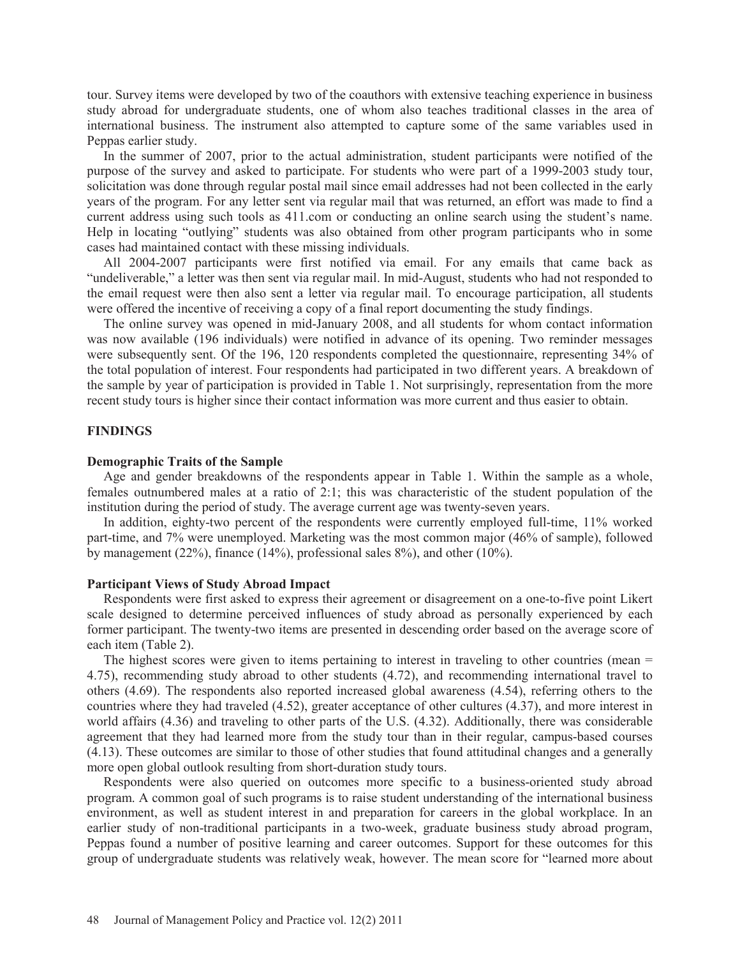tour. Survey items were developed by two of the coauthors with extensive teaching experience in business study abroad for undergraduate students, one of whom also teaches traditional classes in the area of international business. The instrument also attempted to capture some of the same variables used in Peppas earlier study.

 In the summer of 2007, prior to the actual administration, student participants were notified of the purpose of the survey and asked to participate. For students who were part of a 1999-2003 study tour, solicitation was done through regular postal mail since email addresses had not been collected in the early years of the program. For any letter sent via regular mail that was returned, an effort was made to find a current address using such tools as 411.com or conducting an online search using the student's name. Help in locating "outlying" students was also obtained from other program participants who in some cases had maintained contact with these missing individuals.

 All 2004-2007 participants were first notified via email. For any emails that came back as "undeliverable," a letter was then sent via regular mail. In mid-August, students who had not responded to the email request were then also sent a letter via regular mail. To encourage participation, all students were offered the incentive of receiving a copy of a final report documenting the study findings.

 The online survey was opened in mid-January 2008, and all students for whom contact information was now available (196 individuals) were notified in advance of its opening. Two reminder messages were subsequently sent. Of the 196, 120 respondents completed the questionnaire, representing 34% of the total population of interest. Four respondents had participated in two different years. A breakdown of the sample by year of participation is provided in Table 1. Not surprisingly, representation from the more recent study tours is higher since their contact information was more current and thus easier to obtain.

#### **FINDINGS**

#### **Demographic Traits of the Sample**

 Age and gender breakdowns of the respondents appear in Table 1. Within the sample as a whole, females outnumbered males at a ratio of 2:1; this was characteristic of the student population of the institution during the period of study. The average current age was twenty-seven years.

 In addition, eighty-two percent of the respondents were currently employed full-time, 11% worked part-time, and 7% were unemployed. Marketing was the most common major (46% of sample), followed by management (22%), finance (14%), professional sales 8%), and other (10%).

#### **Participant Views of Study Abroad Impact**

 Respondents were first asked to express their agreement or disagreement on a one-to-five point Likert scale designed to determine perceived influences of study abroad as personally experienced by each former participant. The twenty-two items are presented in descending order based on the average score of each item (Table 2).

The highest scores were given to items pertaining to interest in traveling to other countries (mean = 4.75), recommending study abroad to other students (4.72), and recommending international travel to others (4.69). The respondents also reported increased global awareness (4.54), referring others to the countries where they had traveled (4.52), greater acceptance of other cultures (4.37), and more interest in world affairs (4.36) and traveling to other parts of the U.S. (4.32). Additionally, there was considerable agreement that they had learned more from the study tour than in their regular, campus-based courses (4.13). These outcomes are similar to those of other studies that found attitudinal changes and a generally more open global outlook resulting from short-duration study tours.

 Respondents were also queried on outcomes more specific to a business-oriented study abroad program. A common goal of such programs is to raise student understanding of the international business environment, as well as student interest in and preparation for careers in the global workplace. In an earlier study of non-traditional participants in a two-week, graduate business study abroad program, Peppas found a number of positive learning and career outcomes. Support for these outcomes for this group of undergraduate students was relatively weak, however. The mean score for "learned more about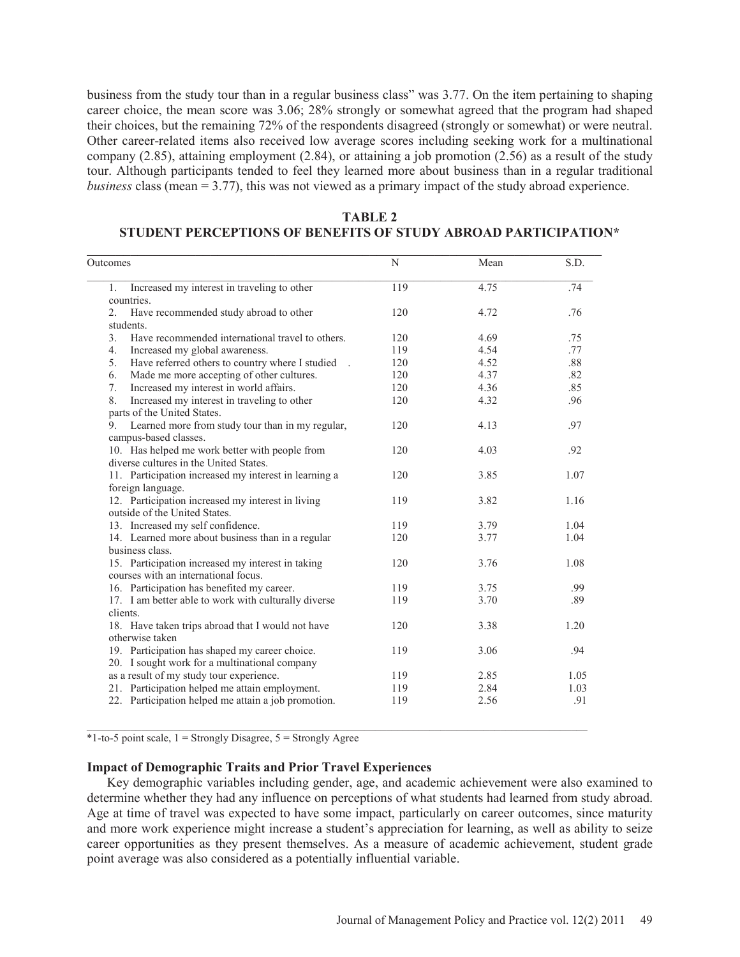business from the study tour than in a regular business class" was 3.77. On the item pertaining to shaping career choice, the mean score was 3.06; 28% strongly or somewhat agreed that the program had shaped their choices, but the remaining 72% of the respondents disagreed (strongly or somewhat) or were neutral. Other career-related items also received low average scores including seeking work for a multinational company (2.85), attaining employment (2.84), or attaining a job promotion (2.56) as a result of the study tour. Although participants tended to feel they learned more about business than in a regular traditional *business* class (mean = 3.77), this was not viewed as a primary impact of the study abroad experience.

| TABLE 2                                                               |  |  |  |  |  |  |  |
|-----------------------------------------------------------------------|--|--|--|--|--|--|--|
| <b>STUDENT PERCEPTIONS OF BENEFITS OF STUDY ABROAD PARTICIPATION*</b> |  |  |  |  |  |  |  |

 $\mathcal{L}_\text{max}$  , and the contribution of the contribution of the contribution of the contribution of the contribution of the contribution of the contribution of the contribution of the contribution of the contribution of t

| Outcomes                                                                                        | N<br>Mean |      |      |  |
|-------------------------------------------------------------------------------------------------|-----------|------|------|--|
| Increased my interest in traveling to other<br>1.<br>countries.                                 | 119       | 4.75 | .74  |  |
| 2.<br>Have recommended study abroad to other                                                    | 120       | 4.72 | .76  |  |
| students.                                                                                       |           |      |      |  |
| 3.<br>Have recommended international travel to others.                                          | 120       | 4.69 | .75  |  |
| 4.<br>Increased my global awareness.                                                            | 119       | 4.54 | .77  |  |
| 5.<br>Have referred others to country where I studied .                                         | 120       | 4.52 | .88  |  |
| 6.<br>Made me more accepting of other cultures.                                                 | 120       | 4.37 | .82  |  |
| Increased my interest in world affairs.<br>7.                                                   | 120       | 4.36 | .85  |  |
| 8.<br>Increased my interest in traveling to other                                               | 120       | 4.32 | .96  |  |
| parts of the United States.                                                                     |           |      |      |  |
| Learned more from study tour than in my regular,<br>9.<br>campus-based classes.                 | 120       | 4.13 | .97  |  |
| 10. Has helped me work better with people from<br>diverse cultures in the United States.        | 120       | 4.03 | .92  |  |
| 11. Participation increased my interest in learning a<br>foreign language.                      | 120       | 3.85 | 1.07 |  |
| 12. Participation increased my interest in living<br>outside of the United States.              | 119       | 3.82 | 1.16 |  |
| 13. Increased my self confidence.                                                               | 119       | 3.79 | 1.04 |  |
| 14. Learned more about business than in a regular<br>business class.                            | 120       | 3.77 | 1.04 |  |
| 15. Participation increased my interest in taking<br>courses with an international focus.       | 120       | 3.76 | 1.08 |  |
| 16. Participation has benefited my career.                                                      | 119       | 3.75 | .99  |  |
| 17. I am better able to work with culturally diverse<br>clients.                                | 119       | 3.70 | .89  |  |
| 18. Have taken trips abroad that I would not have<br>otherwise taken                            | 120       | 3.38 | 1.20 |  |
| 19. Participation has shaped my career choice.<br>20. I sought work for a multinational company | 119       | 3.06 | .94  |  |
| as a result of my study tour experience.                                                        | 119       | 2.85 | 1.05 |  |
| 21. Participation helped me attain employment.                                                  | 119       | 2.84 | 1.03 |  |
| 22. Participation helped me attain a job promotion.                                             | 119       | 2.56 | .91  |  |
|                                                                                                 |           |      |      |  |

 $*1$ -to-5 point scale,  $1 =$  Strongly Disagree,  $5 =$  Strongly Agree

#### **Impact of Demographic Traits and Prior Travel Experiences**

 Key demographic variables including gender, age, and academic achievement were also examined to determine whether they had any influence on perceptions of what students had learned from study abroad. Age at time of travel was expected to have some impact, particularly on career outcomes, since maturity and more work experience might increase a student's appreciation for learning, as well as ability to seize career opportunities as they present themselves. As a measure of academic achievement, student grade point average was also considered as a potentially influential variable.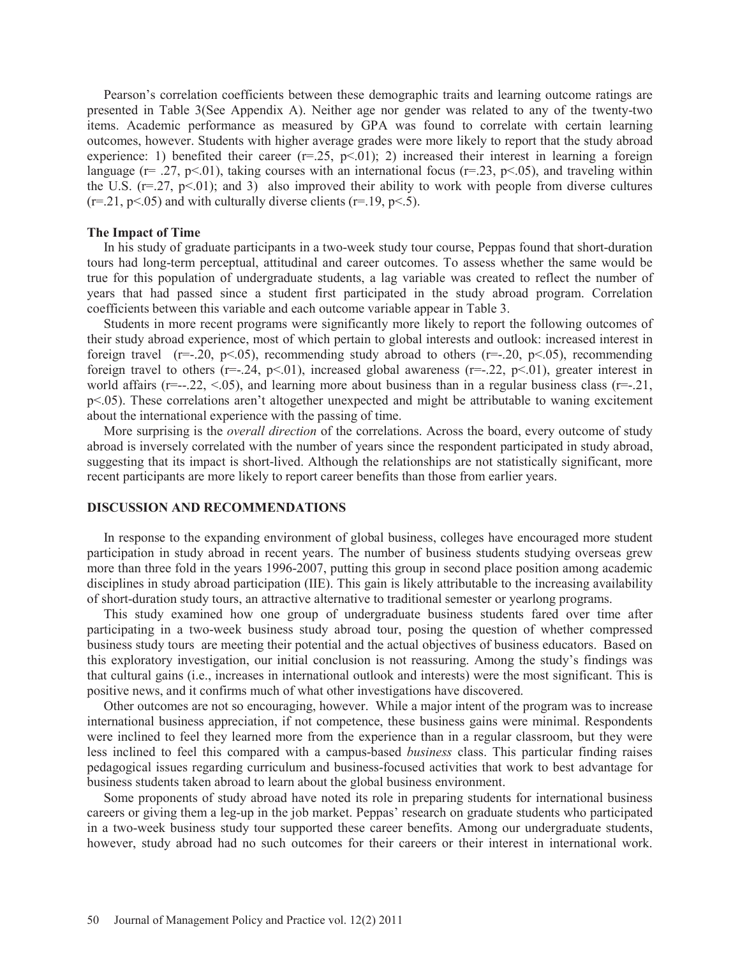Pearson's correlation coefficients between these demographic traits and learning outcome ratings are presented in Table 3(See Appendix A). Neither age nor gender was related to any of the twenty-two items. Academic performance as measured by GPA was found to correlate with certain learning outcomes, however. Students with higher average grades were more likely to report that the study abroad experience: 1) benefited their career  $(r=25, p<0.01)$ ; 2) increased their interest in learning a foreign language ( $r = .27$ ,  $p < .01$ ), taking courses with an international focus ( $r = .23$ ,  $p < .05$ ), and traveling within the U.S.  $(r=.27, p<.01)$ ; and 3) also improved their ability to work with people from diverse cultures  $(r=0.21, p<0.05)$  and with culturally diverse clients  $(r=19, p<0.5)$ .

#### **The Impact of Time**

 In his study of graduate participants in a two-week study tour course, Peppas found that short-duration tours had long-term perceptual, attitudinal and career outcomes. To assess whether the same would be true for this population of undergraduate students, a lag variable was created to reflect the number of years that had passed since a student first participated in the study abroad program. Correlation coefficients between this variable and each outcome variable appear in Table 3.

 Students in more recent programs were significantly more likely to report the following outcomes of their study abroad experience, most of which pertain to global interests and outlook: increased interest in foreign travel ( $r=-.20$ ,  $p<.05$ ), recommending study abroad to others ( $r=-.20$ ,  $p<.05$ ), recommending foreign travel to others  $(r=-.24, p<.01)$ , increased global awareness  $(r=-.22, p<.01)$ , greater interest in world affairs ( $r=-.22, < 0.05$ ), and learning more about business than in a regular business class ( $r=-.21$ , p<.05). These correlations aren't altogether unexpected and might be attributable to waning excitement about the international experience with the passing of time.

 More surprising is the *overall direction* of the correlations. Across the board, every outcome of study abroad is inversely correlated with the number of years since the respondent participated in study abroad, suggesting that its impact is short-lived. Although the relationships are not statistically significant, more recent participants are more likely to report career benefits than those from earlier years.

#### **DISCUSSION AND RECOMMENDATIONS**

 In response to the expanding environment of global business, colleges have encouraged more student participation in study abroad in recent years. The number of business students studying overseas grew more than three fold in the years 1996-2007, putting this group in second place position among academic disciplines in study abroad participation (IIE). This gain is likely attributable to the increasing availability of short-duration study tours, an attractive alternative to traditional semester or yearlong programs.

 This study examined how one group of undergraduate business students fared over time after participating in a two-week business study abroad tour, posing the question of whether compressed business study tours are meeting their potential and the actual objectives of business educators. Based on this exploratory investigation, our initial conclusion is not reassuring. Among the study's findings was that cultural gains (i.e., increases in international outlook and interests) were the most significant. This is positive news, and it confirms much of what other investigations have discovered.

 Other outcomes are not so encouraging, however. While a major intent of the program was to increase international business appreciation, if not competence, these business gains were minimal. Respondents were inclined to feel they learned more from the experience than in a regular classroom, but they were less inclined to feel this compared with a campus-based *business* class. This particular finding raises pedagogical issues regarding curriculum and business-focused activities that work to best advantage for business students taken abroad to learn about the global business environment.

 Some proponents of study abroad have noted its role in preparing students for international business careers or giving them a leg-up in the job market. Peppas' research on graduate students who participated in a two-week business study tour supported these career benefits. Among our undergraduate students, however, study abroad had no such outcomes for their careers or their interest in international work.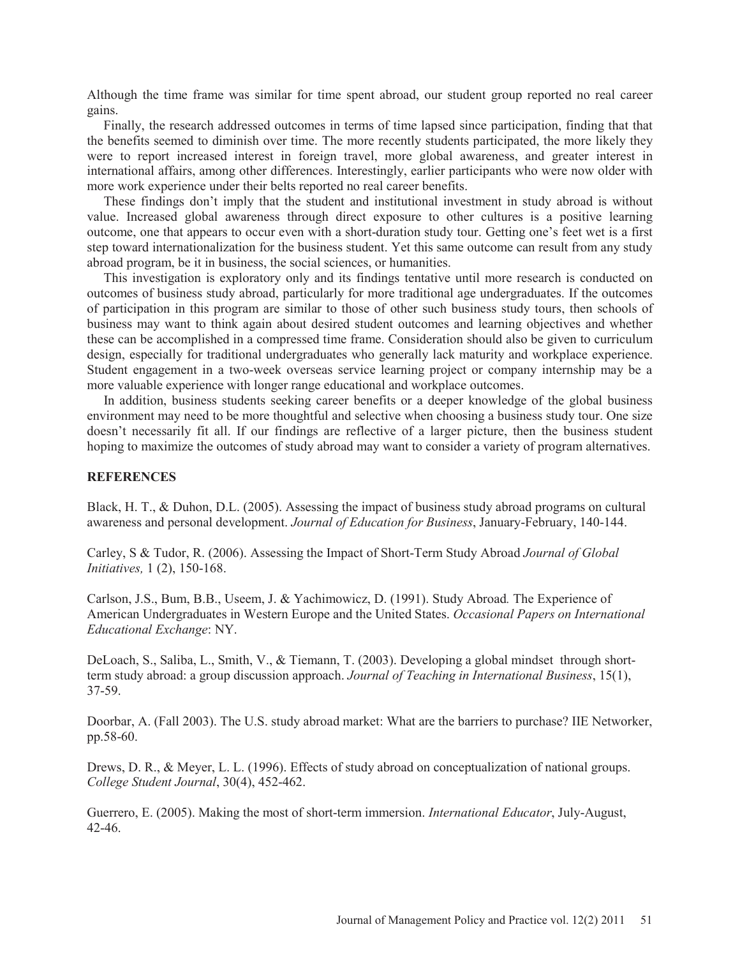Although the time frame was similar for time spent abroad, our student group reported no real career gains.

 Finally, the research addressed outcomes in terms of time lapsed since participation, finding that that the benefits seemed to diminish over time. The more recently students participated, the more likely they were to report increased interest in foreign travel, more global awareness, and greater interest in international affairs, among other differences. Interestingly, earlier participants who were now older with more work experience under their belts reported no real career benefits.

 These findings don't imply that the student and institutional investment in study abroad is without value. Increased global awareness through direct exposure to other cultures is a positive learning outcome, one that appears to occur even with a short-duration study tour. Getting one's feet wet is a first step toward internationalization for the business student. Yet this same outcome can result from any study abroad program, be it in business, the social sciences, or humanities.

 This investigation is exploratory only and its findings tentative until more research is conducted on outcomes of business study abroad, particularly for more traditional age undergraduates. If the outcomes of participation in this program are similar to those of other such business study tours, then schools of business may want to think again about desired student outcomes and learning objectives and whether these can be accomplished in a compressed time frame. Consideration should also be given to curriculum design, especially for traditional undergraduates who generally lack maturity and workplace experience. Student engagement in a two-week overseas service learning project or company internship may be a more valuable experience with longer range educational and workplace outcomes.

 In addition, business students seeking career benefits or a deeper knowledge of the global business environment may need to be more thoughtful and selective when choosing a business study tour. One size doesn't necessarily fit all. If our findings are reflective of a larger picture, then the business student hoping to maximize the outcomes of study abroad may want to consider a variety of program alternatives.

#### **REFERENCES**

Black, H. T., & Duhon, D.L. (2005). Assessing the impact of business study abroad programs on cultural awareness and personal development. *Journal of Education for Business*, January-February, 140-144.

Carley, S & Tudor, R. (2006). Assessing the Impact of Short-Term Study Abroad *Journal of Global Initiatives,* 1 (2), 150-168.

Carlson, J.S., Bum, B.B., Useem, J. & Yachimowicz, D. (1991). Study Abroad*.* The Experience of American Undergraduates in Western Europe and the United States. *Occasional Papers on International Educational Exchange*: NY.

DeLoach, S., Saliba, L., Smith, V., & Tiemann, T. (2003). Developing a global mindset through shortterm study abroad: a group discussion approach. *Journal of Teaching in International Business*, 15(1), 37-59.

Doorbar, A. (Fall 2003). The U.S. study abroad market: What are the barriers to purchase? IIE Networker, pp.58-60.

Drews, D. R., & Meyer, L. L. (1996). Effects of study abroad on conceptualization of national groups. *College Student Journal*, 30(4), 452-462.

Guerrero, E. (2005). Making the most of short-term immersion. *International Educator*, July-August, 42-46.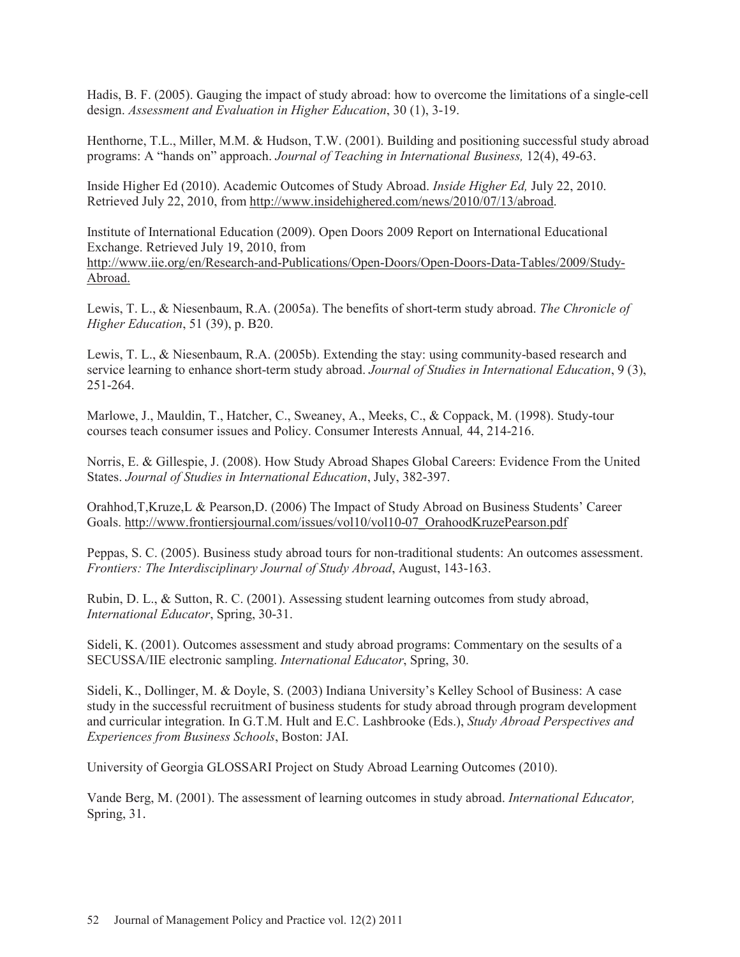Hadis, B. F. (2005). Gauging the impact of study abroad: how to overcome the limitations of a single-cell design. *Assessment and Evaluation in Higher Education*, 30 (1), 3-19.

Henthorne, T.L., Miller, M.M. & Hudson, T.W. (2001). Building and positioning successful study abroad programs: A "hands on" approach. *Journal of Teaching in International Business,* 12(4), 49-63.

Inside Higher Ed (2010). Academic Outcomes of Study Abroad. *Inside Higher Ed,* July 22, 2010. Retrieved July 22, 2010, from http://www.insidehighered.com/news/2010/07/13/abroad.

Institute of International Education (2009). Open Doors 2009 Report on International Educational Exchange. Retrieved July 19, 2010, from http://www.iie.org/en/Research-and-Publications/Open-Doors/Open-Doors-Data-Tables/2009/Study-Abroad.

Lewis, T. L., & Niesenbaum, R.A. (2005a). The benefits of short-term study abroad. *The Chronicle of Higher Education*, 51 (39), p. B20.

Lewis, T. L., & Niesenbaum, R.A. (2005b). Extending the stay: using community-based research and service learning to enhance short-term study abroad. *Journal of Studies in International Education*, 9 (3), 251-264.

Marlowe, J., Mauldin, T., Hatcher, C., Sweaney, A., Meeks, C., & Coppack, M. (1998). Study-tour courses teach consumer issues and Policy. Consumer Interests Annual*,* 44, 214-216.

Norris, E. & Gillespie, J. (2008). How Study Abroad Shapes Global Careers: Evidence From the United States. *Journal of Studies in International Education*, July, 382-397.

Orahhod,T,Kruze,L & Pearson,D. (2006) The Impact of Study Abroad on Business Students' Career Goals. http://www.frontiersjournal.com/issues/vol10/vol10-07\_OrahoodKruzePearson.pdf

Peppas, S. C. (2005). Business study abroad tours for non-traditional students: An outcomes assessment. *Frontiers: The Interdisciplinary Journal of Study Abroad*, August, 143-163.

Rubin, D. L., & Sutton, R. C. (2001). Assessing student learning outcomes from study abroad, *International Educator*, Spring, 30-31.

Sideli, K. (2001). Outcomes assessment and study abroad programs: Commentary on the sesults of a SECUSSA/IIE electronic sampling. *International Educator*, Spring, 30.

Sideli, K., Dollinger, M. & Doyle, S. (2003) Indiana University's Kelley School of Business: A case study in the successful recruitment of business students for study abroad through program development and curricular integration. In G.T.M. Hult and E.C. Lashbrooke (Eds.), *Study Abroad Perspectives and Experiences from Business Schools*, Boston: JAI.

University of Georgia GLOSSARI Project on Study Abroad Learning Outcomes (2010).

Vande Berg, M. (2001). The assessment of learning outcomes in study abroad. *International Educator,* Spring, 31.